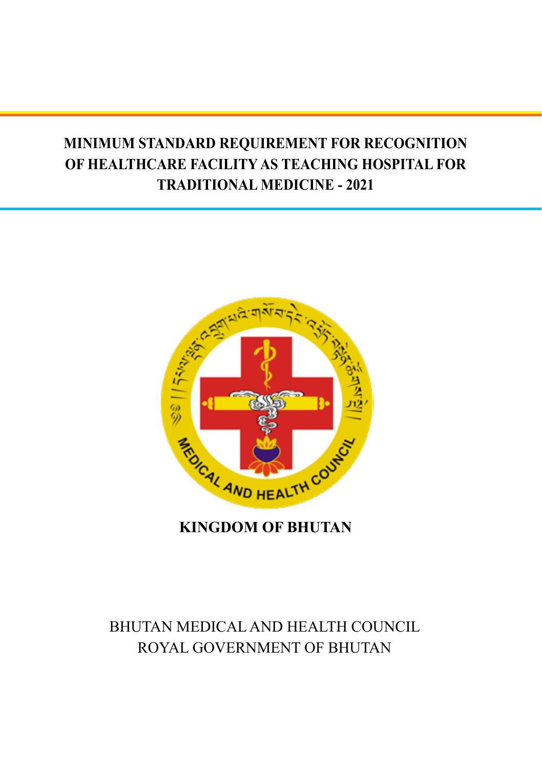# **MINIMUM STANDARD REQUIREMENT FOR RECOGNITION OF HEALTHCARE FACILITY AS TEACHING HOSPITAL FOR TRADITIONAL MEDICINE - 2021**



**KINGDOM OF BHUTAN**

# BHUTAN MEDICAL AND HEALTH COUNCIL ROYAL GOVERNMENT OF BHUTAN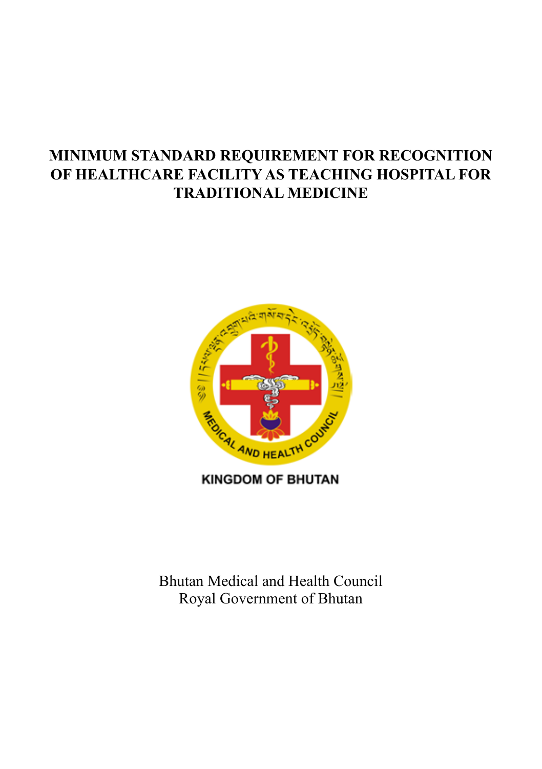# **MINIMUM STANDARD REQUIREMENT FOR RECOGNITION OF HEALTHCARE FACILITY AS TEACHING HOSPITAL FOR TRADITIONAL MEDICINE**



**KINGDOM OF BHUTAN** 

Bhutan Medical and Health Council Royal Government of Bhutan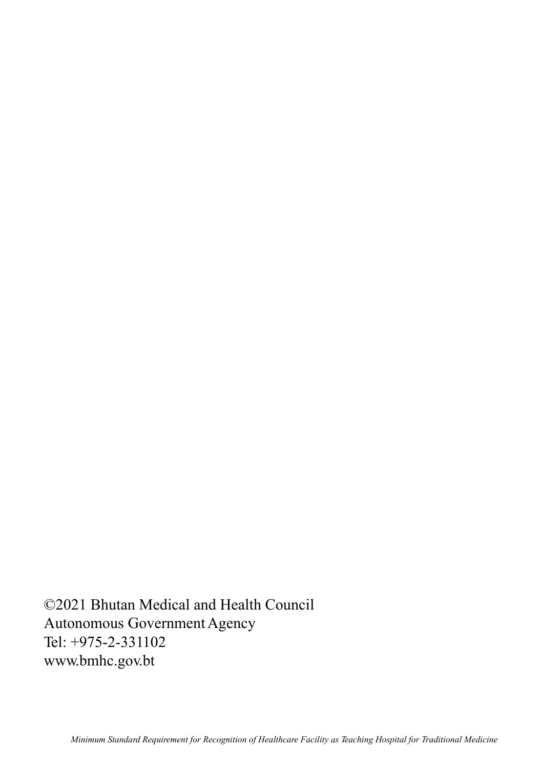©2021 Bhutan Medical and Health Council Autonomous Government Agency Tel: +975-2-331102 www.bmhc.gov.bt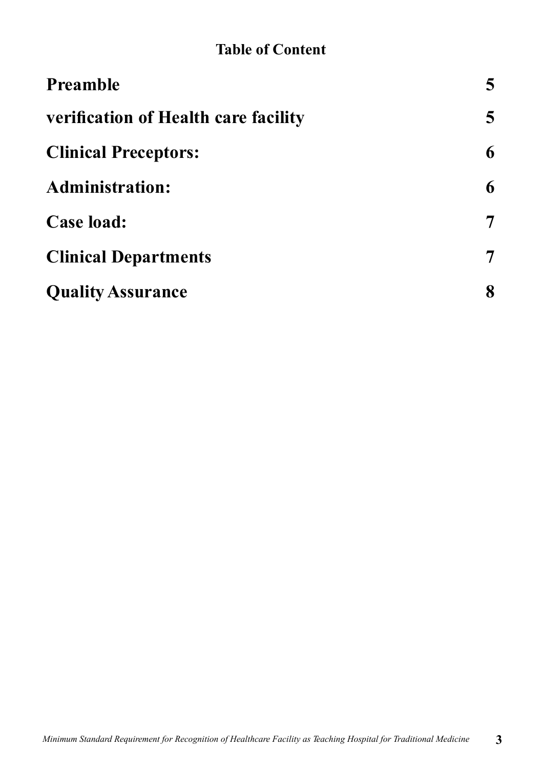# **Table of Content**

| Preamble                             | 5 |
|--------------------------------------|---|
| verification of Health care facility | 5 |
| <b>Clinical Preceptors:</b>          | 6 |
| <b>Administration:</b>               | 6 |
| <b>Case load:</b>                    | 7 |
| <b>Clinical Departments</b>          | 7 |
| <b>Quality Assurance</b>             | 8 |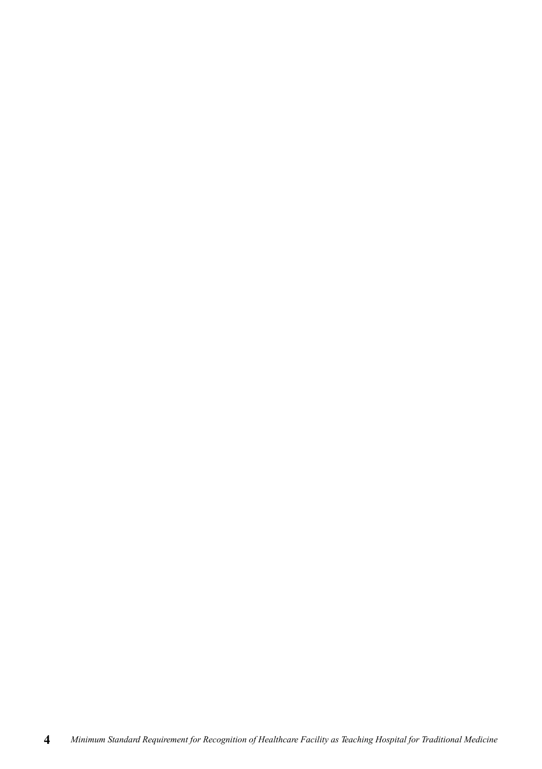*Minimum Standard Requirement for Recognition of Healthcare Facility as Teaching Hospital for Traditional Medicine*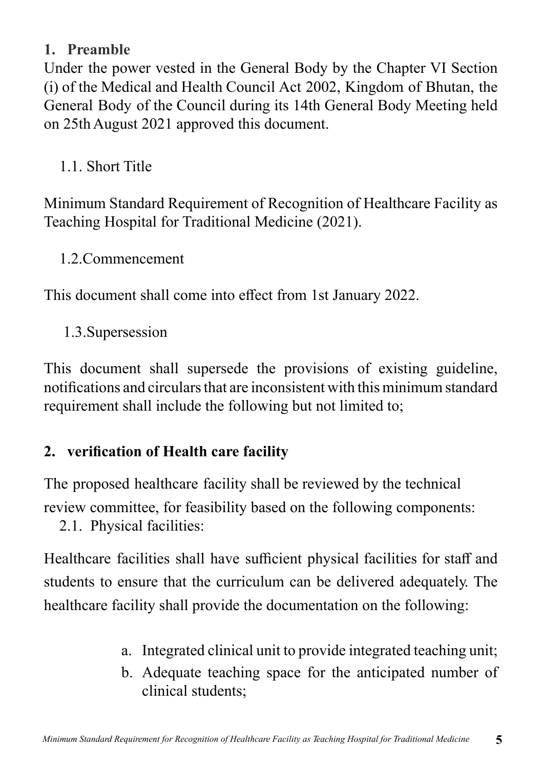# **1. Preamble**

Under the power vested in the General Body by the Chapter VI Section (i) of the Medical and Health Council Act 2002, Kingdom of Bhutan, the General Body of the Council during its 14th General Body Meeting held on 25th August 2021 approved this document.

1.1. Short Title

Minimum Standard Requirement of Recognition of Healthcare Facility as Teaching Hospital for Traditional Medicine (2021).

1.2.Commencement

This document shall come into effect from 1st January 2022.

1.3.Supersession

This document shall supersede the provisions of existing guideline, notifications and circulars that are inconsistent with this minimum standard requirement shall include the following but not limited to;

# **2. verification of Health care facility**

The proposed healthcare facility shall be reviewed by the technical review committee, for feasibility based on the following components:

2.1. Physical facilities:

Healthcare facilities shall have sufficient physical facilities for staff and students to ensure that the curriculum can be delivered adequately. The healthcare facility shall provide the documentation on the following:

- a. Integrated clinical unit to provide integrated teaching unit;
- b. Adequate teaching space for the anticipated number of clinical students;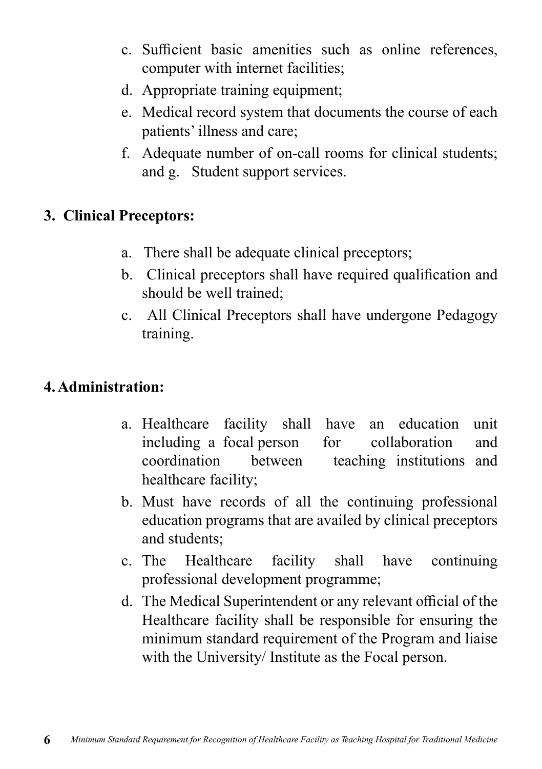- c. Sufficient basic amenities such as online references, computer with internet facilities;
- d. Appropriate training equipment;
- e. Medical record system that documents the course of each patients' illness and care;
- f. Adequate number of on-call rooms for clinical students; and g. Student support services.

#### **3. Clinical Preceptors:**

- a. There shall be adequate clinical preceptors;
- b. Clinical preceptors shall have required qualification and should be well trained;
- c. All Clinical Preceptors shall have undergone Pedagogy training.

#### **4. Administration:**

- a. Healthcare facility shall have an education unit including a focal person for collaboration and coordination between teaching institutions and healthcare facility;
- b. Must have records of all the continuing professional education programs that are availed by clinical preceptors and students;
- c. The Healthcare facility shall have continuing professional development programme;
- d. The Medical Superintendent or any relevant official of the Healthcare facility shall be responsible for ensuring the minimum standard requirement of the Program and liaise with the University/ Institute as the Focal person.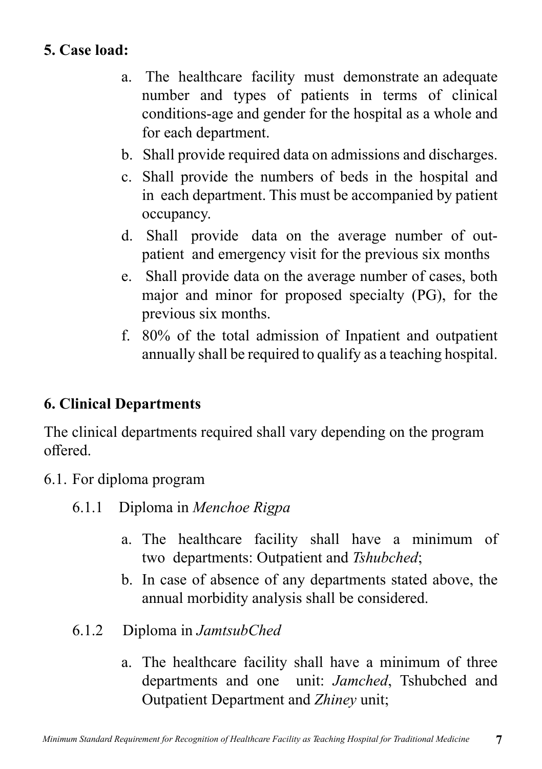### **5. Case load:**

- a. The healthcare facility must demonstrate an adequate number and types of patients in terms of clinical conditions-age and gender for the hospital as a whole and for each department.
- b. Shall provide required data on admissions and discharges.
- c. Shall provide the numbers of beds in the hospital and in each department. This must be accompanied by patient occupancy.
- d. Shall provide data on the average number of outpatient and emergency visit for the previous six months
- e. Shall provide data on the average number of cases, both major and minor for proposed specialty (PG), for the previous six months.
- f. 80% of the total admission of Inpatient and outpatient annually shall be required to qualify as a teaching hospital.

# **6. Clinical Departments**

The clinical departments required shall vary depending on the program offered.

- 6.1. For diploma program
	- 6.1.1 Diploma in *Menchoe Rigpa*
		- a. The healthcare facility shall have a minimum of two departments: Outpatient and *Tshubched*;
		- b. In case of absence of any departments stated above, the annual morbidity analysis shall be considered.
	- 6.1.2 Diploma in *JamtsubChed*
		- a. The healthcare facility shall have a minimum of three departments and one unit: *Jamched*, Tshubched and Outpatient Department and *Zhiney* unit;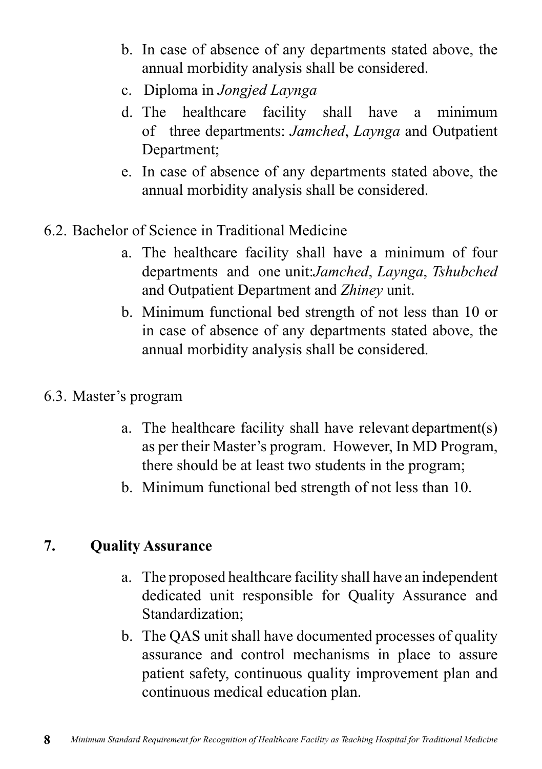- b. In case of absence of any departments stated above, the annual morbidity analysis shall be considered.
- c. Diploma in *Jongjed Laynga*
- d. The healthcare facility shall have a minimum of three departments: *Jamched*, *Laynga* and Outpatient Department;
- e. In case of absence of any departments stated above, the annual morbidity analysis shall be considered.
- 6.2. Bachelor of Science in Traditional Medicine
	- a. The healthcare facility shall have a minimum of four departments and one unit:*Jamched*, *Laynga*, *Tshubched* and Outpatient Department and *Zhiney* unit.
	- b. Minimum functional bed strength of not less than 10 or in case of absence of any departments stated above, the annual morbidity analysis shall be considered.
- 6.3. Master's program
	- a. The healthcare facility shall have relevant department(s) as per their Master's program. However, In MD Program, there should be at least two students in the program;
	- b. Minimum functional bed strength of not less than 10.

### **7. Quality Assurance**

- a. The proposed healthcare facility shall have an independent dedicated unit responsible for Quality Assurance and Standardization;
- b. The QAS unit shall have documented processes of quality assurance and control mechanisms in place to assure patient safety, continuous quality improvement plan and continuous medical education plan.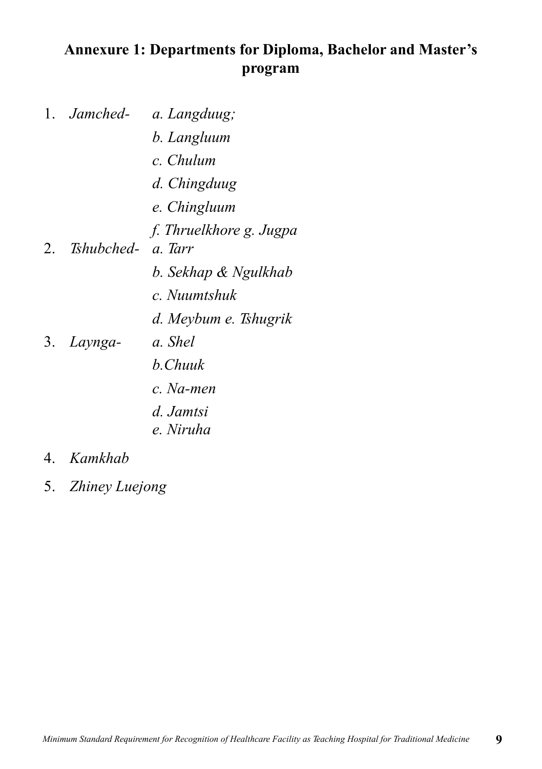### **Annexure 1: Departments for Diploma, Bachelor and Master's program**

| 1. Jamched-   | a. Langduug;            |
|---------------|-------------------------|
|               | b. Langluum             |
|               | c. Chulum               |
|               | d. Chingduug            |
|               | e. Chingluum            |
|               | f. Thruelkhore g. Jugpa |
| 2. Tshubched- | a Tarr                  |
|               | b. Sekhap & Ngulkhab    |
|               | c. Nuumtshuk            |
|               | d. Meybum e. Tshugrik   |
| 3. Laynga-    | a. Shel                 |
|               | b.Chuuk                 |
|               | c. Na-men               |
|               | d. Jamtsi               |
|               | e. Niruha               |

- 4. *Kamkhab*
- 5. *Zhiney Luejong*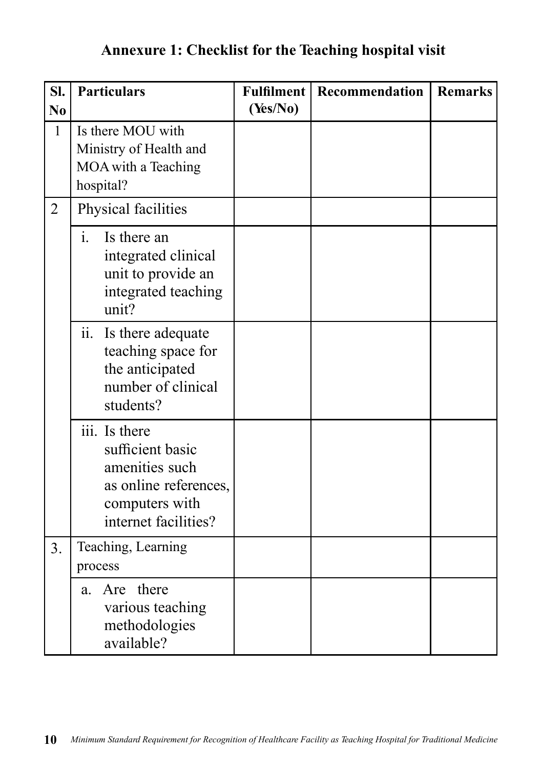### **Annexure 1: Checklist for the Teaching hospital visit**

| SI.<br>N <sub>0</sub> | <b>Particulars</b>                                                                                                     | <b>Fulfilment</b><br>(Yes/No) | Recommendation | <b>Remarks</b> |
|-----------------------|------------------------------------------------------------------------------------------------------------------------|-------------------------------|----------------|----------------|
| $\mathbf{1}$          | Is there MOU with<br>Ministry of Health and<br>MOA with a Teaching<br>hospital?                                        |                               |                |                |
| $\overline{2}$        | Physical facilities                                                                                                    |                               |                |                |
|                       | $\mathbf{i}$ .<br>Is there an<br>integrated clinical<br>unit to provide an<br>integrated teaching<br>unit?             |                               |                |                |
|                       | ii.<br>Is there adequate<br>teaching space for<br>the anticipated<br>number of clinical<br>students?                   |                               |                |                |
|                       | iii. Is there<br>sufficient basic<br>amenities such<br>as online references,<br>computers with<br>internet facilities? |                               |                |                |
| 3.                    | Teaching, Learning<br>process                                                                                          |                               |                |                |
|                       | a. Are there<br>various teaching<br>methodologies<br>available?                                                        |                               |                |                |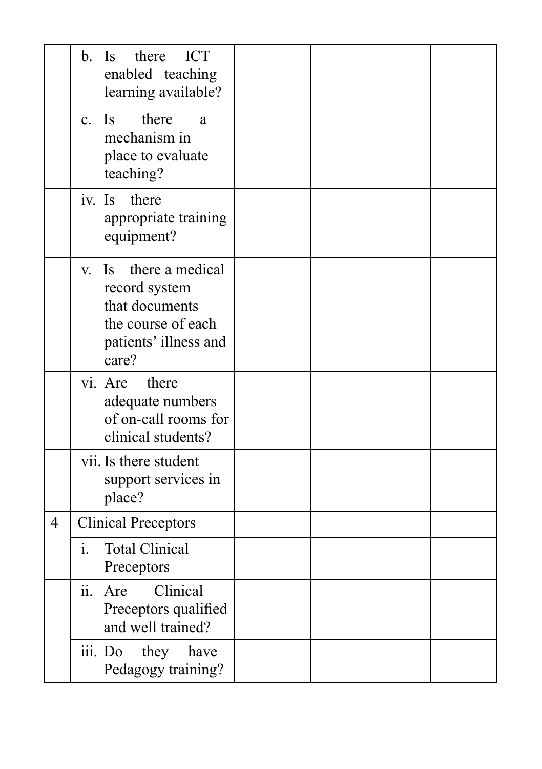|                | <b>ICT</b><br>$\mathbf b$ .<br><b>Is</b><br>there<br>enabled teaching<br>learning available?                                                  |  |  |
|----------------|-----------------------------------------------------------------------------------------------------------------------------------------------|--|--|
|                | there<br><b>Is</b><br>$\mathbf{c}$ .<br>a<br>mechanism in<br>place to evaluate<br>teaching?                                                   |  |  |
|                | there<br>iv. Is<br>appropriate training<br>equipment?                                                                                         |  |  |
|                | there a medical<br>$\overline{1}$ s<br>$V_{\cdot}$<br>record system<br>that documents<br>the course of each<br>patients' illness and<br>care? |  |  |
|                | vi. Are<br>there<br>adequate numbers<br>of on-call rooms for<br>clinical students?                                                            |  |  |
|                | vii. Is there student<br>support services in<br>place?                                                                                        |  |  |
| $\overline{4}$ | <b>Clinical Preceptors</b>                                                                                                                    |  |  |
|                | $\mathbf{i}$ .<br><b>Total Clinical</b><br>Preceptors                                                                                         |  |  |
|                | ii.<br>Clinical<br>Are<br>Preceptors qualified<br>and well trained?                                                                           |  |  |
|                | iii. Do<br>they<br>have<br>Pedagogy training?                                                                                                 |  |  |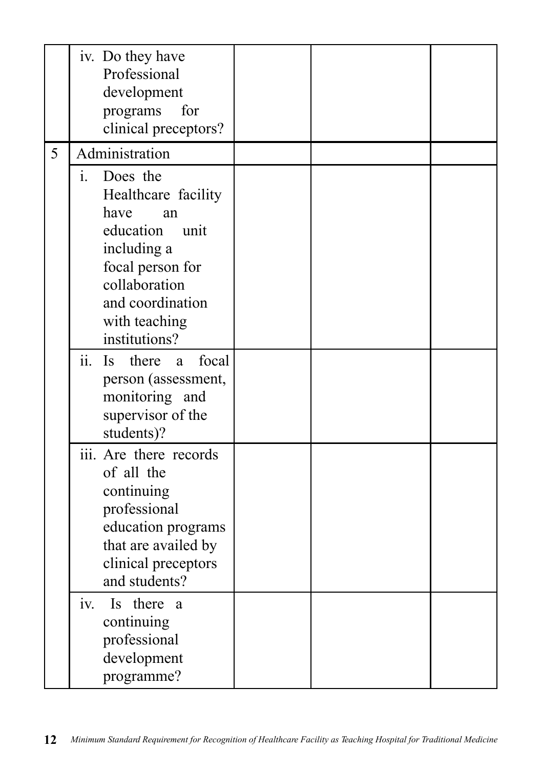|   | iv. Do they have<br>Professional<br>development<br>programs<br>for<br>clinical preceptors?                                                                                         |  |  |
|---|------------------------------------------------------------------------------------------------------------------------------------------------------------------------------------|--|--|
| 5 | Administration                                                                                                                                                                     |  |  |
|   | Does the<br>i.<br>Healthcare facility<br>have<br>an<br>education<br>unit<br>including a<br>focal person for<br>collaboration<br>and coordination<br>with teaching<br>institutions? |  |  |
|   | ii.<br>focal<br>Is there<br>a<br>person (assessment,<br>monitoring and<br>supervisor of the<br>students)?                                                                          |  |  |
|   | iii. Are there records<br>of all the<br>continuing<br>professional<br>education programs<br>that are availed by<br>clinical preceptors<br>and students?                            |  |  |
|   | Is there<br>iv.<br>a.<br>continuing<br>professional<br>development<br>programme?                                                                                                   |  |  |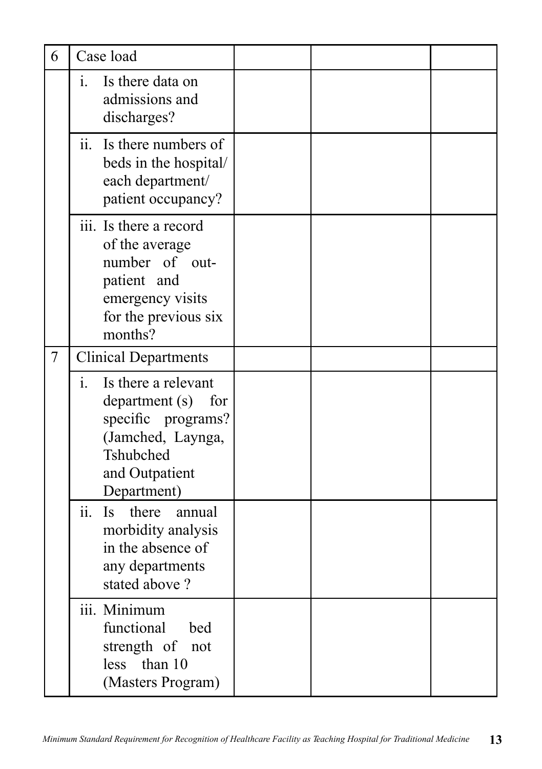| 6 | Case load                                                                                                                                            |  |  |
|---|------------------------------------------------------------------------------------------------------------------------------------------------------|--|--|
|   | i.<br>Is there data on<br>admissions and<br>discharges?                                                                                              |  |  |
|   | ii.<br>Is there numbers of<br>beds in the hospital/<br>each department/<br>patient occupancy?                                                        |  |  |
|   | iii. Is there a record<br>of the average<br>number of out-<br>patient and<br>emergency visits<br>for the previous six<br>months?                     |  |  |
| 7 | <b>Clinical Departments</b>                                                                                                                          |  |  |
|   | $\mathbf{i}$ .<br>Is there a relevant<br>department (s) for<br>specific programs?<br>(Jamched, Laynga,<br>Tshubched<br>and Outpatient<br>Department) |  |  |
|   | $\dddot{\mathbf{i}}$ .<br>$\overline{I}$<br>there<br>annual<br>morbidity analysis<br>in the absence of<br>any departments<br>stated above?           |  |  |
|   | iii. Minimum<br>functional<br>bed<br>strength of<br>not<br>than $10$<br>less<br>(Masters Program)                                                    |  |  |